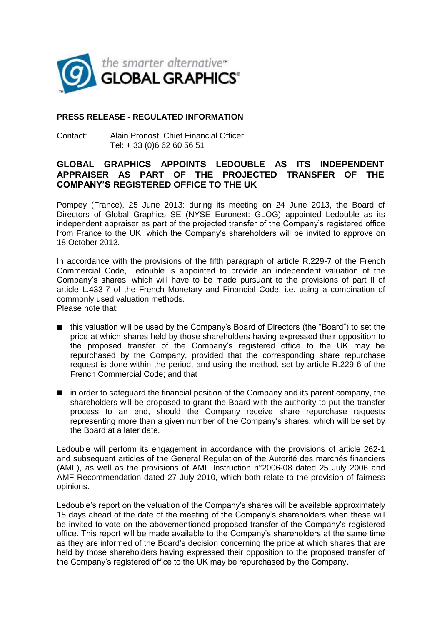

# **PRESS RELEASE - REGULATED INFORMATION**

Contact: Alain Pronost, Chief Financial Officer Tel: + 33 (0)6 62 60 56 51

# **GLOBAL GRAPHICS APPOINTS LEDOUBLE AS ITS INDEPENDENT APPRAISER AS PART OF THE PROJECTED TRANSFER OF THE COMPANY'S REGISTERED OFFICE TO THE UK**

Pompey (France), 25 June 2013: during its meeting on 24 June 2013, the Board of Directors of Global Graphics SE (NYSE Euronext: GLOG) appointed Ledouble as its independent appraiser as part of the projected transfer of the Company's registered office from France to the UK, which the Company's shareholders will be invited to approve on 18 October 2013.

In accordance with the provisions of the fifth paragraph of article R.229-7 of the French Commercial Code, Ledouble is appointed to provide an independent valuation of the Company's shares, which will have to be made pursuant to the provisions of part II of article L.433-7 of the French Monetary and Financial Code, i.e. using a combination of commonly used valuation methods. Please note that:

- this valuation will be used by the Company's Board of Directors (the "Board") to set the price at which shares held by those shareholders having expressed their opposition to the proposed transfer of the Company's registered office to the UK may be repurchased by the Company, provided that the corresponding share repurchase request is done within the period, and using the method, set by article R.229-6 of the French Commercial Code; and that
- $\blacksquare$  in order to safeguard the financial position of the Company and its parent company, the shareholders will be proposed to grant the Board with the authority to put the transfer process to an end, should the Company receive share repurchase requests representing more than a given number of the Company's shares, which will be set by the Board at a later date.

Ledouble will perform its engagement in accordance with the provisions of article 262-1 and subsequent articles of the General Regulation of the Autorité des marchés financiers (AMF), as well as the provisions of AMF Instruction n°2006-08 dated 25 July 2006 and AMF Recommendation dated 27 July 2010, which both relate to the provision of fairness opinions.

Ledouble's report on the valuation of the Company's shares will be available approximately 15 days ahead of the date of the meeting of the Company's shareholders when these will be invited to vote on the abovementioned proposed transfer of the Company's registered office. This report will be made available to the Company's shareholders at the same time as they are informed of the Board's decision concerning the price at which shares that are held by those shareholders having expressed their opposition to the proposed transfer of the Company's registered office to the UK may be repurchased by the Company.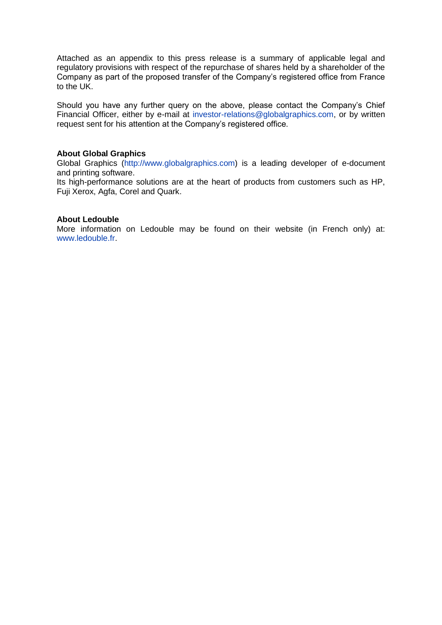Attached as an appendix to this press release is a summary of applicable legal and regulatory provisions with respect of the repurchase of shares held by a shareholder of the Company as part of the proposed transfer of the Company's registered office from France to the UK.

Should you have any further query on the above, please contact the Company's Chief Financial Officer, either by e-mail at [investor-relations@globalgraphics.com,](mailto:investor-relations@globalgraphics.com) or by written request sent for his attention at the Company's registered office.

### **About Global Graphics**

Global Graphics [\(http://www.globalgraphics.com\)](http://www.globalgraphics.com/) is a leading developer of e-document and printing software.

Its high-performance solutions are at the heart of products from customers such as HP, Fuji Xerox, Agfa, Corel and Quark.

### **About Ledouble**

More information on Ledouble may be found on their website (in French only) at: [www.ledouble.fr.](http://www.ledouble.fr/)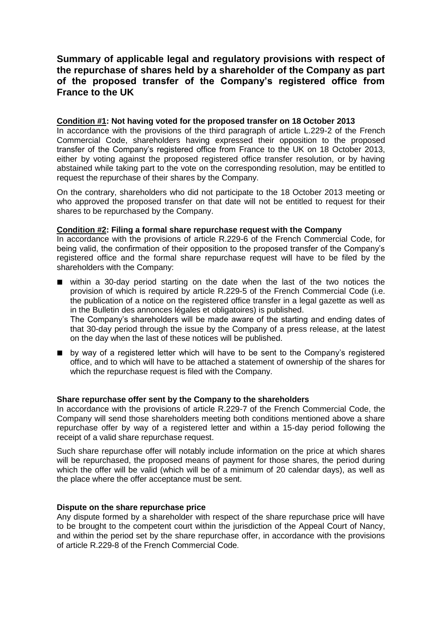# **Summary of applicable legal and regulatory provisions with respect of the repurchase of shares held by a shareholder of the Company as part of the proposed transfer of the Company's registered office from France to the UK**

# **Condition #1: Not having voted for the proposed transfer on 18 October 2013**

In accordance with the provisions of the third paragraph of article L.229-2 of the French Commercial Code, shareholders having expressed their opposition to the proposed transfer of the Company's registered office from France to the UK on 18 October 2013, either by voting against the proposed registered office transfer resolution, or by having abstained while taking part to the vote on the corresponding resolution, may be entitled to request the repurchase of their shares by the Company.

On the contrary, shareholders who did not participate to the 18 October 2013 meeting or who approved the proposed transfer on that date will not be entitled to request for their shares to be repurchased by the Company.

# **Condition #2: Filing a formal share repurchase request with the Company**

In accordance with the provisions of article R.229-6 of the French Commercial Code, for being valid, the confirmation of their opposition to the proposed transfer of the Company's registered office and the formal share repurchase request will have to be filed by the shareholders with the Company:

■ within a 30-day period starting on the date when the last of the two notices the provision of which is required by article R.229-5 of the French Commercial Code (i.e. the publication of a notice on the registered office transfer in a legal gazette as well as in the Bulletin des annonces légales et obligatoires) is published.

The Company's shareholders will be made aware of the starting and ending dates of that 30-day period through the issue by the Company of a press release, at the latest on the day when the last of these notices will be published.

**De** by way of a registered letter which will have to be sent to the Company's registered office, and to which will have to be attached a statement of ownership of the shares for which the repurchase request is filed with the Company.

### **Share repurchase offer sent by the Company to the shareholders**

In accordance with the provisions of article R.229-7 of the French Commercial Code, the Company will send those shareholders meeting both conditions mentioned above a share repurchase offer by way of a registered letter and within a 15-day period following the receipt of a valid share repurchase request.

Such share repurchase offer will notably include information on the price at which shares will be repurchased, the proposed means of payment for those shares, the period during which the offer will be valid (which will be of a minimum of 20 calendar days), as well as the place where the offer acceptance must be sent.

### **Dispute on the share repurchase price**

Any dispute formed by a shareholder with respect of the share repurchase price will have to be brought to the competent court within the jurisdiction of the Appeal Court of Nancy, and within the period set by the share repurchase offer, in accordance with the provisions of article R.229-8 of the French Commercial Code.